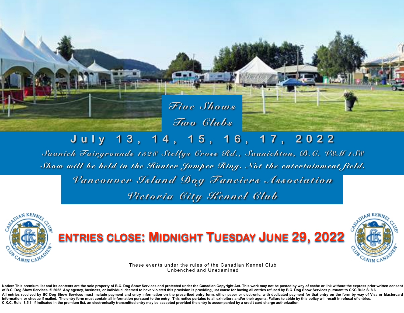*Five Shows Two Clubs*

# **July 13, 14, 15, 16, 17, 2022**

*Saanich Fairgrounds 1528 Stellys Cross Rd., Saanichton, B.C. V8M 1S8 Show will be held in the Hunter Jumper Ring. Not the entertainment field. Vancouver Island Dog Fanciers Association Victoria City Kennel Club*



# **ENTRIES CLOSE: MIDNIGHT TUESDAY JUNE 29, 2022**



These events under the rules of the Canadian Kennel Club Unbenched and Unexamined

Notice: This premium list and its contents are the sole property of B.C. Dog Show Services and protected under the Canadian Copyright Act. This work may not be posted by way of cache or link without the express prior writt of B.C. Dog Show Services. © 2022 Any agency, business, or individual deemed to have violated this provision is providing just cause for having all entries refused by B.C. Dog Show Services pursuant to CKC Rule S. 8.6 All entries received by BC Dog Show Services must include payment and entry information on the prescribed entry form, either paper or electronic, with dedicated payment for that entry on the form by way of Visa or Masterca information, or cheque if mailed. The entry form must contain all information pursuant to the entry. This notice pertains to all exhibitors and/or their agents. Failure to abide by this policy will result in refusal of ent **C.K.C. Rule: 8.5.1 If indicated in the premium list, an electronically transmitted entry may be accepted provided the entry is accompanied by a credit card charge authorization.**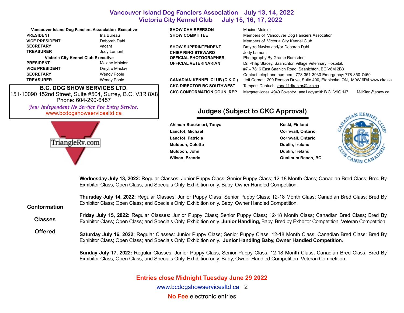|                                            | <b>Vancouver Island Dog Fanciers Association Executive</b> |  |  |  |
|--------------------------------------------|------------------------------------------------------------|--|--|--|
| <b>PRESIDENT</b>                           | Ina Bureau                                                 |  |  |  |
| <b>VICE PRESIDENT</b>                      | Deborah Dahl                                               |  |  |  |
| <b>SECRETARY</b>                           | vacant                                                     |  |  |  |
| <b>TREASURER</b>                           | Jody Lamont                                                |  |  |  |
| <b>Victoria City Kennel Club Executive</b> |                                                            |  |  |  |
| <b>PRESIDENT</b>                           | Maxine Moinier                                             |  |  |  |
| <b>VICE PRESIDENT</b>                      | Dmytro Maslov                                              |  |  |  |
| <b>SECRETARY</b>                           | <b>Wendy Poole</b>                                         |  |  |  |
| <b>TREASURER</b>                           | <b>Wendy Poole</b>                                         |  |  |  |
|                                            |                                                            |  |  |  |

**B.C. DOG SHOW SERVICES LTD.** 151-10090 152nd Street, Suite #504, Surrey, B.C. V3R 8X8 Phone: 604-290-6457 *Your Independent No Service Fee Entry Service.*  [www.bcdogshowservicesltd.ca](https://www.bcdogshowservicesltd.ca)



## **SHOW CHAIRPERSON Maxine Moinier**

**CHIEF RING STEWARD** Jody Lamont

#### **SHOW COMMITTEE** Members of Vancouver Dog Fanciers Assocation Members of Victoria City Kennel Club **SHOW SUPERINTENDENT** Dmytro Maslov and/or Deborah Dahl **OFFICIAL PHOTOGRAPHER** Photography By Grame Ramsden **OFFICIAL VETERINARIAN** Dr. Philip Stacey, Saanichton Village Veterinary Hospital, #7 – 7816 East Saanich Road, Saanichton, BC V8M 2B3 Contact telephone numbers: 778-351-3030 Emergency: 778-350-7469 **CANADIAN KENNEL CLUB (C.K.C.)** Jeff Cornett 200 Ronson Drive, Suite 400, Etobicoke, ON, M9W 6R4 [www.ckc.ca](http://www.ckc.ca)  **CKC DIRECTOR BC SOUTHWEST** Tempest Deptuch [zone11director@ckc.ca](mailto:zone11director@ckc.ca) **CKC CONFORMATION COUN. REP** Margaret Jones 4940 Coventry Lane Ladysmith B.C. V9G 1J7 [MJKian@shaw.ca](mailto:MJKian@shaw.ca)

## **Judges (Subject to CKC Approval)**

Ahlman-Stockmari, Tanya **Koski, Finland** Koski, Finland Lanctot, Michael **Cornwall**, Ontario **Lanctot, Patricia Cornwall, Ontario Muldoon, Colette Dublin, Ireland Publin, Ireland Publin, Ireland Publin, Ireland Publin, Ireland Publin, Ireland Muldoon, John Dublin, Ireland Wilson, Brenda Qualicum Beach, BC**



**Wednesday July 13, 2022:** Regular Classes: Junior Puppy Class; Senior Puppy Class; 12-18 Month Class; Canadian Bred Class; Bred By Exhibitor Class; Open Class; and Specials Only. Exhibition only. Baby, Owner Handled Competition.

**Thursday July 14, 2022:** Regular Classes: Junior Puppy Class; Senior Puppy Class; 12-18 Month Class; Canadian Bred Class; Bred By Exhibitor Class; Open Class; and Specials Only. Exhibition only. Baby, Owner Handled Competition. **Friday July 15, 2022:** Regular Classes: Junior Puppy Class; Senior Puppy Class; 12-18 Month Class; Canadian Bred Class; Bred By Exhibitor Class; Open Class; and Specials Only. Exhibition only. **Junior Handling,** Baby, Bred by Exhbitor Competition, Veteran Competition **Conformation Classes** 

**Saturday July 16, 2022:** Regular Classes: Junior Puppy Class; Senior Puppy Class; 12-18 Month Class; Canadian Bred Class; Bred By Exhibitor Class; Open Class; and Specials Only. Exhibition only. **Junior Handling Baby, Owner Handled Competition. Offered**

> **Sunday July 17, 2022:** Regular Classes: Junior Puppy Class; Senior Puppy Class; 12-18 Month Class; Canadian Bred Class; Bred By Exhibitor Class; Open Class; and Specials Only. Exhibition only. Baby, Owner Handled Competition, Veteran Competition.

## **Entries close Midnight Tuesday June 29 2022**

[www.bcdogshowservicesltd.ca](https://www.bcdogshowservicesltd.ca) 2

**No Fee** electronic entries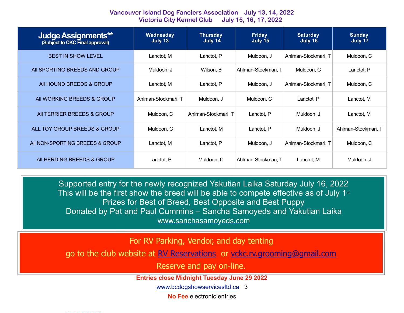| <b>Judge Assignments**</b><br>(Subject to CKC Final approval) | Wednesday<br>July 13 | <b>Thursday</b><br>July 14 | <b>Friday</b><br>July 15 | <b>Saturday</b><br>July 16 | <b>Sunday</b><br>July 17 |
|---------------------------------------------------------------|----------------------|----------------------------|--------------------------|----------------------------|--------------------------|
| <b>BEST IN SHOW LEVEL</b>                                     | Lanctot, M           | Lanctot, P                 | Muldoon, J               | Ahlman-Stockmari, T        | Muldoon, C               |
| AII SPORTING BREEDS AND GROUP                                 | Muldoon, J           | Wilson, B                  | Ahlman-Stockmari, T      | Muldoon, C                 | Lanctot, P               |
| All HOUND BREEDS & GROUP                                      | Lanctot, M           | Lanctot, P                 | Muldoon, J               | Ahlman-Stockmari, T        | Muldoon, C               |
| AII WORKING BREEDS & GROUP                                    | Ahlman-Stockmari, T  | Muldoon, J                 | Muldoon, C               | Lanctot, P                 | Lanctot, M               |
| AII TERRIER BREEDS & GROUP                                    | Muldoon, C           | Ahlman-Stockmari, T        | Lanctot, P               | Muldoon, J                 | Lanctot, M               |
| ALL TOY GROUP BREEDS & GROUP                                  | Muldoon, C           | Lanctot, M                 | Lanctot, P               | Muldoon. J                 | Ahlman-Stockmari, T      |
| AII NON-SPORTING BREEDS & GROUP                               | Lanctot, M           | Lanctot, P                 | Muldoon, J               | Ahlman-Stockmari, T        | Muldoon, C               |
| All HERDING BREEDS & GROUP                                    | Lanctot, P           | Muldoon, C                 | Ahlman-Stockmari, T      | Lanctot, M                 | Muldoon, J               |

Supported entry for the newly recognized Yakutian Laika Saturday July 16, 2022 This will be the first show the breed will be able to compete effective as of July 1st Prizes for Best of Breed, Best Opposite and Best Puppy Donated by Pat and Paul Cummins – Sancha Samoyeds and Yakutian Laika [www.sanchasamoyeds.com](http://www.sanchasamoyeds.com/)

For RV Parking, Vendor, and day tenting

go to the club website at [RV Reservations](https://victoriacitykennelclub.ca/summer-cluster/) or [vckc.rv.grooming@gmail.com](mailto:vckc.rv.grooming@gmail.com)

Reserve and pay on-line.

**Entries close Midnight Tuesday June 29 2022** 

[www.bcdogshowservicesltd.ca](https://www.bcdogshowservicesltd.ca) 3

**No Fee** electronic entries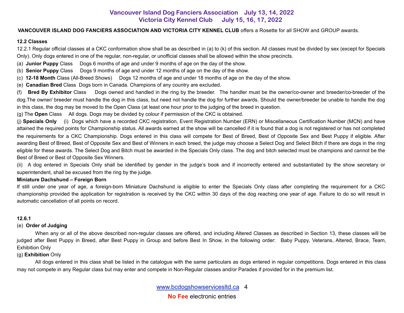#### **VANCOUVER ISLAND DOG FANCIERS ASSOCIATION AND VICTORIA CITY KENNEL CLUB** offers a Rosette for all SHOW and GROUP awards.

#### **12.2 Classes**

12.2.1 Regular official classes at a CKC conformation show shall be as described in (a) to (k) of this section. All classes must be divided by sex (except for Specials Only). Only dogs entered in one of the regular, non-regular, or unofficial classes shall be allowed within the show precincts.

(a) **Junior Puppy** Class Dogs 6 months of age and under 9 months of age on the day of the show.

(b) **Senior Puppy** Class Dogs 9 months of age and under 12 months of age on the day of the show.

(c) **12-18 Month** Class (All-Breed Shows) Dogs 12 months of age and under 18 months of age on the day of the show.

(e) **Canadian Bred** Class Dogs born in Canada. Champions of any country are excluded.

(f) **Bred By Exhibitor** Class Dogs owned and handled in the ring by the breeder. The handler must be the owner/co-owner and breeder/co-breeder of the dog. The owner/ breeder must handle the dog in this class, but need not handle the dog for further awards. Should the owner/breeder be unable to handle the dog in this class, the dog may be moved to the Open Class (at least one hour prior to the judging of the breed in question.

(g) The **Open** Class All dogs. Dogs may be divided by colour if permission of the CKC is obtained.

(j) **Specials Only** (i) Dogs which have a recorded CKC registration, Event Registration Number (ERN) or Miscellaneous Certification Number (MCN) and have attained the required points for Championship status. All awards earned at the show will be cancelled if it is found that a dog is not registered or has not completed the requirements for a CKC Championship. Dogs entered in this class will compete for Best of Breed, Best of Opposite Sex and Best Puppy if eligible. After awarding Best of Breed, Best of Opposite Sex and Best of Winners in each breed, the judge may choose a Select Dog and Select Bitch if there are dogs in the ring eligible for these awards. The Select Dog and Bitch must be awarded in the Specials Only class. The dog and bitch selected must be champions and cannot be the Best of Breed or Best of Opposite Sex Winners.

(ii) A dog entered in Specials Only shall be identified by gender in the judge's book and if incorrectly entered and substantiated by the show secretary or superintendent, shall be excused from the ring by the judge.

#### **Miniature Dachshund – Foreign Born**

If still under one year of age, a foreign-born Miniature Dachshund is eligible to enter the Specials Only class after completing the requirement for a CKC championship provided the application for registration is received by the CKC within 30 days of the dog reaching one year of age. Failure to do so will result in automatic cancellation of all points on record.

#### **12.6.1**

#### (e) **Order of Judging**

 When any or all of the above described non-regular classes are offered, and including Altered Classes as described in Section 13, these classes will be judged after Best Puppy in Breed, after Best Puppy in Group and before Best In Show, in the following order: Baby Puppy, Veterans, Altered, Brace, Team, Exhibition Only

#### (g) **Exhibition** Only

 All dogs entered in this class shall be listed in the catalogue with the same particulars as dogs entered in regular competitions. Dogs entered in this class may not compete in any Regular class but may enter and compete in Non-Regular classes and/or Parades if provided for in the premium list.

> [www.bcdogshowservicesltd.ca](https://www.bcdogshowservicesltd.ca) 4 **No Fee** electronic entries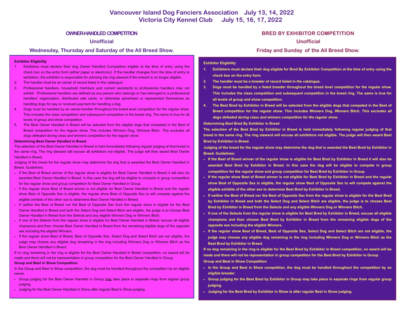**No Fee** electronic entries

#### **OWNER-HANDLED COMPETITION**

#### **Unofficial**

#### **Wednesday, Thursday and Saturday of the All Breed Show.**

#### **Exhibitor Eligibility**

- 1. Exhibitors must declare their dog Owner Handled Competition eligible at the time of entry using the check box on the entry form (either paper or electronic). If the handler changes from the time of entry to exhibition, the exhibitor is responsible for advising the ring steward if the entrant is no longer eligible.
- 2. The handler must be an owner of record listed in the catalogue.
- 3. Professional handlers, household members and current assistants to professional handlers may not exhibit. Professional handlers are defined as any person who belongs or has belonged to a professional handlers' organization, distributed rate cards, or otherwise advertised or represented themselves as handling dogs for pay or received payment for handling a dog.
- 4. Dogs must be handled by an owner-handler throughout the breed level competition for the regular show. This includes the class competition and subsequent competition in the breed ring. The same is true for all levels of group and show competition.
- 5. The Best Owner Handled in Breed will be selected from the eligible dogs that competed in the Best of Breed competition for the regular show. This includes Winners Dog, Winners Bitch. *This excludes all dogs defeated during class and winners competition for the regular show.*

#### **Determining Best Owner Handled in Breed**

The selection of the Best Owner Handled in Breed is held immediately following regular judging of that breed in the same ring. The ring steward will excuse all exhibitors not eligible. The judge will then award Best Owner Handled in Breed.

Judging of the breed for the regular show may determine the dog that is awarded the Best Owner Handled in Breed. Guidelines:

- If the Best of Breed winner of the regular show is eligible for Best Owner Handled in Breed it will also be awarded Best Owner Handled in Breed. In this case the dog will be eligible to compete in group competition for the regular show and group competition for Best Owner Handled in Group.
- If the regular show Best of Breed winner is not eligible for Best Owner Handled in Breed and the regular show Best of Opposite Sex is eligible, the regular show Best of Opposite Sex to will compete against the eligible exhibits of the other sex to determine Best Owner Handled in Breed.
- If neither the Best of Breed nor the Best of Opposite Sex from the regular show is eligible for the Best Owner Handled in Breed and both the Select Dog and Select Bitch are eligible, the judge is to choose Best Owner Handled in Breed from the Selects and any eligible Winners Dog or Winners Bitch.
- If one of the Selects from the regular show is eligible for Best Owner Handled in Breed, excuse all eligible champions and then choose Best Owner Handled in Breed from the remaining eligible dogs of the opposite sex including the eligible Winners.
- If the regular show Best of Breed, Best of Opposite Sex, Select Dog and Select Bitch are not eligible, the judge may choose any eligible dog remaining in the ring including Winners Dog or Winners Bitch as the Best Owner Handled in Breed.

If no dog remaining in the ring is eligible for the Best Owner Handled in Breed competition, no award will be made and there will not be representation in group competition for the Best Owner Handled in Group. **Group and Best in Show Competition.**

In the Group and Best in Show competition, the dog must be handled throughout the competition by an eligible owner.

- Group judging for the Best Owner Handled in Group may take place in separate rings from regular group judging.
- Judging for the Best Owner Handled in Show after regular Best in Show judging.

#### **BRED BY EXHIBITOR COMPETITION**

#### **Unofficial**

#### **Friday and Sunday of the All Breed Show.**

#### **Exhibitor Eligibility**

- **1. Exhibitors must declare their dog eligible for Bred By Exhibitor Competition at the time of entry using the check box on the entry form.**
- **2. The handler must be a breeder of record listed in the catalogue.**
- **3. Dogs must be handled by a listed breeder throughout the breed level competition for the regular show. This includes the class competition and subsequent competition in the breed ring. The same is true for all levels of group and show competition.**
- **4. The Best Bred by Exhibitor in Breed will be selected from the eligible dogs that competed in the Best of Breed competition for the regular show. This includes Winners Dog, Winners Bitch.** *This excludes all dogs defeated during class and winners competition for the regular show.*

**Determining Best Bred By Exhibitor in Breed** 

**The selection of the Best Bred by Exhibitor in Breed is held immediately following regular judging of that breed in the same ring. The ring steward will excuse all exhibitors not eligible. The judge will then award Best Bred by Exhibitor in Breed.** 

**Judging of the breed for the regular show may determine the dog that is awarded the Best Bred by Exhibitor in Breed. Guidelines:** 

- **• If the Best of Breed winner of the regular show is eligible for Best Bred by Exhibitor in Breed it will also be awarded Best Bred by Exhibitor in Breed. In this case the dog will be eligible to compete in group competition for the regular show and group competition for Best Bred by Exhibitor in Group.**
- **• If the regular show Best of Breed winner is not eligible for Best Bred by Exhibitor in Breed and the regular show Best of Opposite Sex is eligible, the regular show Best of Opposite Sex to will compete against the eligible exhibits of the other sex to determine Best Bred by Exhibitor in Breed.**
- **• If neither the Best of Breed nor the Best of Opposite Sex from the regular show is eligible for the Best Bred by Exhibitor in Breed and both the Select Dog and Select Bitch are eligible, the judge is to choose Best Bred by Exhibitor in Breed from the Selects and any eligible Winners Dog or Winners Bitch.**
- **• If one of the Selects from the regular show is eligible for Best Bred by Exhibitor in Breed, excuse all eligible champions and then choose Best Bred by Exhibitor in Breed from the remaining eligible dogs of the opposite sex including the eligible Winners.**
- **• If the regular show Best of Breed, Best of Opposite Sex, Select Dog and Select Bitch are not eligible, the judge may choose any eligible dog remaining in the ring including Winners Dog or Winners Bitch as the Best Bred by Exhibitor in Breed.**

**If no dog remaining in the ring is eligible for the Best Bred by Exhibitor in Breed competition, no award will be made and there will not be representation in group competition for the Best Bred by Exhibitor in Group. Group and Best in Show Competition** 

- **• In the Group and Best in Show competition, the dog must be handled throughout the competition by an eligible breeder.**
- **Exaude rings from regular group •** Group judging for the Best Bred by Exhibitor in Group may take place in separate rings from regular group ww.bcdogshowservicesltd.ca 5 <mark>judging.</mark><br>The services of the services of the services of the services of the services of the services of the service of **judging.** 
	- **• Judging for the Best Bred by Exhibitor in Show is after regular Best in Show judging.**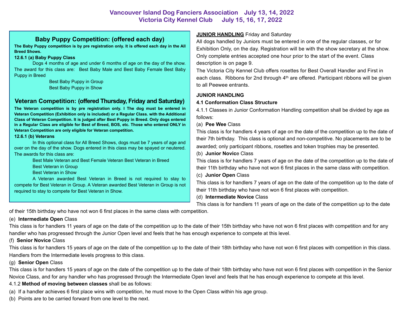## **Baby Puppy Competition: (offered each day)**

**The Baby Puppy competition is by pre registration only. It is offered each day in the All Breed Shows.** 

#### **12.6.1 (a) Baby Puppy Class**

 Dogs 4 months of age and under 6 months of age on the day of the show. The award for this class are: Best Baby Male and Best Baby Female Best Baby Puppy in Breed

 Best Baby Puppy in Group Best Baby Puppy in Show

## **Veteran Competition: (offered Thursday, Friday and Saturday)**

**The Veteran competition is by pre registration only. I The dog must be entered in Veteran Competition (Exhibition only is included) or a Regular Class. with the Additional Class of Veteran Competition. It is judged after Best Puppy in Breed. Only dogs entered in a Regular Class are eligible for Best of Breed, BOS, etc. Those who entered ONLY in Veteran Competition are only eligible for Veteran competition.** 

#### **12.6.1 (b) Veterans**

 In this optional class for All Breed Shows, dogs must be 7 years of age and over on the day of the show. Dogs entered in this class may be spayed or neutered. The awards for this class are:

Best Male Veteran and Best Female Veteran Best Veteran in Breed

Best Veteran in Group

Best Veteran in Show

 A Veteran awarded Best Veteran in Breed is not required to stay to compete for Best Veteran in Group. A Veteran awarded Best Veteran in Group is not required to stay to compete for Best Veteran in Show.

## **JUNIOR HANDLING** Friday and Saturday

All dogs handled by Juniors must be entered in one of the regular classes, or for Exhibition Only, on the day. Registration will be with the show secretary at the show. Only complete entries accepted one hour prior to the start of the event. Class description is on page 9.

The Victoria City Kennel Club offers rosettes for Best Overall Handler and First in each class. Ribbons for 2nd through  $4<sup>th</sup>$  are offered. Participant ribbons will be given to all Peewee entrants.

## **JUNIOR HANDLING**

## **4.1 Conformation Class Structure**

4.1.1 Classes in Junior Conformation Handling competition shall be divided by age as follows:

#### (a) **Pee Wee** Class

This class is for handlers 4 years of age on the date of the competition up to the date of their 7th birthday. This class is optional and non-competitive. No placements are to be awarded; only participant ribbons, rosettes and token trophies may be presented. (b) **Junior Novic**e Class

## This class is for handlers 7 years of age on the date of the competition up to the date of their 11th birthday who have not won 6 first places in the same class with competition. (c) **Junior Open** Class

This class is for handlers 7 years of age on the date of the competition up to the date of their 11th birthday who have not won 6 first places with competition.

## (d) **Intermediate Novice** Class

This class is for handlers 11 years of age on the date of the competition up to the date

of their 15th birthday who have not won 6 first places in the same class with competition.

## (e) **Intermediate Open** Class

This class is for handlers 11 years of age on the date of the competition up to the date of their 15th birthday who have not won 6 first places with competition and for any handler who has progressed through the Junior Open level and feels that he has enough experience to compete at this level.

## (f) **Senior Novice** Class

This class is for handlers 15 years of age on the date of the competition up to the date of their 18th birthday who have not won 6 first places with competition in this class. Handlers from the Intermediate levels progress to this class.

## (g) **Senior Open** Class

Novice Class, and for any handler who has progressed through the Intermediate Open level and feels that he has enough experience to compete at this level. This class is for handlers 15 years of age on the date of the competition up to the date of their 18th birthday who have not won 6 first places with competition in the Senior

## 4.1.2 **Method of moving between classes** shall be as follows:

- 4.1.2 Metriod of moving between classes shall be as lollows.<br>(a) If a handler achieves 6 first place wins with competition, he must move to the Open Class within his age group. **No Fee** electronic entries entries entries entries entries entries entries entries entries entre electronic entre electronic entre electronic entre electronic entre electronic entre electronic entre electronic entre elect
- (b) Points are to be carried forward from one level to the next.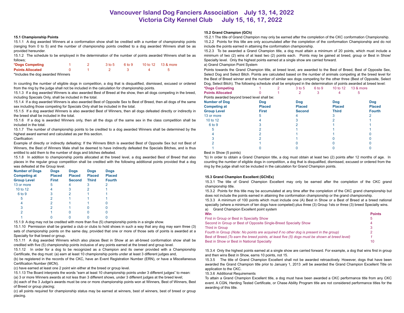#### **15.1 Championship Points**

15.1.1 A dog awarded Winners at a conformation show shall be credited with a number of championship points (ranging from 0 to 5) and the number of championship points credited to a dog awarded Winners shall be as provided hereunder.

15.1.2 The schedule to be employed in the determination of the number of points awarded Winners shall be as follows;

| *Dogs Competing                   |  | 3 to 5 | 6 to 9 | 10 to 12 13 & more |
|-----------------------------------|--|--------|--------|--------------------|
| <b>Points Allocated</b>           |  |        |        |                    |
| *Includes the dog awarded Winners |  |        |        |                    |

In counting the number of eligible dogs in competition, a dog that is disqualified, dismissed, excused or ordered from the ring by the judge shall not be included in the calculation for championship points.

15.1.3 If a dog awarded Winners is also awarded Best of Breed at the show, then all dogs competing in the breed, including Specials Only, shall be included in the total.

15.1.4 If a dog awarded Winners is also awarded Best of Opposite Sex to Best of Breed, then all dogs of the same sex including those competing for Specials Only shall be included in the total.

15.1.5 If a dog awarded Winners is also awarded Best of Winners, then all dogs defeated directly or indirectly in the breed shall be included in the total.

15.1.6 If a dog is awarded Winners only, then all the dogs of the same sex in the class competition shall be included in the total.

15.1.7 The number of championship points to be credited to a dog awarded Winners shall be determined by the highest award earned and calculated as per this section.

#### Clarification:

Example of directly or indirectly defeating: If the Winners Bitch is awarded Best of Opposite Sex but not Best of Winners, the Best of Winners Male shall be deemed to have indirectly defeated the Specials Bitches, and is thus entitled to add them to the number of dogs and bitches defeated.

15.1.8 In addition to championship points allocated at the breed level, a dog awarded Best of Breed that also places in the regular group competition shall be credited with the following additional points provided that a dog was defeated at the Group level.

| <b>Dogs</b><br><b>Placed</b> | <b>Dogs</b><br><b>Placed</b> | <b>Dogs</b><br><b>Placed</b> | <b>Dogs</b><br><b>Placed</b> |  |
|------------------------------|------------------------------|------------------------------|------------------------------|--|
| <b>First</b>                 | <b>Second</b>                | <b>Third</b>                 | <b>Fourth</b>                |  |
| 5                            | 4                            | 3                            |                              |  |
| 4                            | 3                            |                              |                              |  |
| 3                            |                              |                              |                              |  |
|                              |                              |                              |                              |  |
|                              |                              |                              |                              |  |
| 2                            |                              |                              |                              |  |
|                              |                              |                              |                              |  |
|                              |                              |                              |                              |  |
|                              |                              |                              |                              |  |

15.1.9 A dog may not be credited with more than five (5) championship points in a single show.

15.1.10 Permission shall be granted a club or clubs to hold shows in such a way that any dog may earn three (3) sets of championship points on the same day, provided that one or more of those sets of points is awarded at a Specialty for that breed or group.

15.1.11 A dog awarded Winners which also places Best in Show at an all-breed conformation show shall be credited with five (5) championship points inclusive of any points earned at the breed and group level.

15.1.12 In order for a dog to be recognized as a Champion and its owner provided with a Championship Certificate, the dog must: (a) earn at least 10 championship points under at least 3 different judges and,

(b) be registered in the records of the CKC, have an Event Registration Number (ERN), or have a Miscellaneous Certification Number (MCN).

(c) have earned at least one 2 point win either at the breed or group level.

15.1.13 The Board interprets the words "earn at least 10 championship points under 3 different judges" to mean:

(a) 3 or more Winners awards at not less than 3 different shows, under 3 different judges at the breed level;

(b) each of the 3 Judge's awards must be one or more championship points won at Winners, Best of Winners, Best of Breed or group placing;

(c) all points required for championship status may be earned at winners, best of winners, best of breed or group placing.

#### **15.2 Grand Champion (GCh)**

15.2.1 The title of Grand Champion may only be earned after the completion of the CKC conformation Championship. 15.2.2 Points for this title are only accumulated after the completion of the conformation Championship and do not include the points earned in attaining the conformation championship.

15.2.3 To be awarded a Grand Champion title, a dog must attain a minimum of 20 points, which must include a minimum of two (2) wins of at least two (2) points each. Points may be gained at breed, group or Best in Show/ Specialty level. Only the highest points earned at a single show are carried forward.

#### a) Grand Champion Point System

Points towards the Grand Champion title, at breed level, are awarded to the Best of Breed, Best of Opposite Sex, Select Dog and Select Bitch. Points are calculated based on the number of animals competing at the breed level for the Best of Breed winner and the number of similar sex dogs competing for the other three (Best of Opposite, Select Dog, Select Bitch). The following schedule shall be employed in the determination of points awarded at breed level:

| *Dogs Competing                             |               | $3$ to $5$    | 6 to 9 | 10 to 12      | 13 & more |               |
|---------------------------------------------|---------------|---------------|--------|---------------|-----------|---------------|
| <b>Points Allocated</b>                     |               |               |        |               |           |               |
| Points awarded beyond breed level shall be: |               |               |        |               |           |               |
| <b>Number of Dog</b>                        | <b>Dog</b>    | <b>Dog</b>    |        | Dog           |           | <b>Dog</b>    |
| <b>Competing at</b>                         | <b>Placed</b> | <b>Placed</b> |        | <b>Placed</b> |           | <b>Placed</b> |
| <b>Group Level</b>                          | <b>First</b>  | <b>Second</b> |        | <b>Third</b>  |           | <b>Fourth</b> |
| 13 or more                                  |               |               |        |               |           |               |
| 10 to 12                                    |               |               |        |               |           |               |
| 6 to 9                                      |               |               |        |               |           |               |
|                                             |               |               |        |               |           |               |
|                                             |               |               |        |               |           |               |
|                                             |               |               |        |               |           |               |
|                                             |               |               |        |               |           |               |
|                                             |               |               |        |               |           |               |

#### Best in Show (5 points)

\*b) In order to obtain a Grand Champion title, a dog must obtain at least two (2) points after 12 months of age. In counting the number of eligible dogs in competition, a dog that is disqualified, dismissed, excused or ordered from the ring by the judge shall not be included in the calculation for Grand Champion points.

#### **15.3 Grand Champion Excellent (GChEx)**

15.3.1 The title of Grand Champion Excellent may only be earned after the completion of the CKC grand championship title.

15.3.2 Points for this title may be accumulated at any time after the completion of the CKC grand championship but does not include the points earned in attaining the conformation championship or the grand championship.

15.3.3 A minimum of 100 points which must include one (A) Best in Show or a Best of Breed at a breed national specialty (where a minimum of ten dogs have competed) plus three (3) Group 1sts or three (3) breed Specialty wins. a) Grand Champion Excellent point system

| Win                                                                                           | <b>Points</b> |
|-----------------------------------------------------------------------------------------------|---------------|
| First in Group or Best in Specialty Show                                                      | h             |
| Second in Group or Best of Opposite Single-Breed Specialty Show                               | 4             |
| Third in Group                                                                                |               |
| Fourth in Group (Note: No points are acquired if no other dog is present in the group)        |               |
| Best of Breed (To earn the breed points, at least five (5) dogs must be shown at breed level) |               |
| Best in Show or Best in National Specialty                                                    | 10            |

15.3.4 Only the highest points earned at a single show are carried forward. For example, a dog that wins first in group and then wins Best in Show, earns 10 points, not 15.

15.3.5 The title of Grand Champion Excellent shall not be awarded retroactively. However, dogs that have been awarded the Grand Champion title prior to January 1, 2013 ,will be awarded the Grand Champion Excellent Title on application to the CKC.

#### 15.3.6 Additional Requirements

To attain a Grand Champion Excellent title, a dog must have been awarded a CKC performance title from any CKC awarding of this title. event. A CGN, Herding Tested Certificate, or Chase Ability Program title are not considered performance titles for the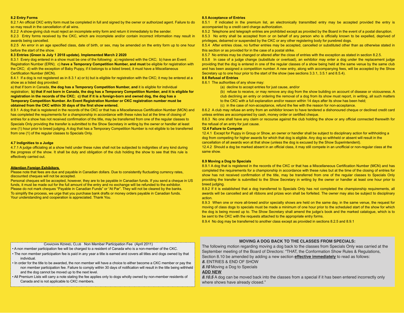#### **8.2 Entry Forms**

8.2.1 An official CKC entry form must be completed in full and signed by the owner or authorized agent. Failure to do so may result in the cancellation of all wins.

8.2.2 A show-giving club must reject an incomplete entry form and return it immediately to the sender.

8.2.3 Entry forms received by the CKC, which are incomplete and/or contain incorrect information may result in awards being cancelled.

8.2.5 An error in an age specified class, date of birth, or sex, may be amended on the entry form up to one hour before the start of the show.

#### **8.3 Entries (Green is July 1 2018 update). Implemented March 2 2020**

8.3.1 Every dog entered in a show must be one of the following: a) registered with the CKC; b) have an Event Registration Number (ERN); c) **have a Temporary Competition Number, and must** be eligible for registration with the CKC; d) with the exception of Baby Puppy, if it belongs to a listed breed, it must have a Miscellaneous Certification Number (MCN).

8.4.1 If a dog is not registered as in 8.3.1 a) or b) but is eligible for registration with the CKC; it may be entered at a show as a listed dog provided:

a) that if born in Canada, **the dog has a Temporary Competition Number, and** it is eligible for individual registration; **b) that if not born in Canada, the dog has a Temporary Competition Number, and it is eligible for registration in the records of the CKC; c) that if it is a foreign-born and owned dog, the dog has a Temporary Competition Number. An Event Registration Number or CKC registration number must be obtained from the CKC within 30 days of the first show entered.** 

8.9.1 A dog that is registered in the records of the CKC or that has a Miscellaneous Certification Number (MCN) and has completed the requirements for a championship in accordance with these rules but at the time of closing of entries for a show has not received confirmation of the title, may be transferred from one of the regular classes to Specials Only providing the transfer is submitted to the Show Secretary in writing by the owner or handler at least one (1) hour prior to breed judging. A dog that has a Temporary Competition Number is not eligible to be transferred from one (1) of the regular classes to Specials Only.

#### **4.7 Indignities to a Judge**

4.7.1 A judge officiating at a show held under these rules shall not be subjected to indignities of any kind during the progress of the show. It shall be duty and obligation of the club holding the show to see that this rule is effectively carried out.

#### **Attention Foreign Exhibitors**

Please note that fees are due and payable in Canadian dollars. Due to consistently fluctuating currency rates, discounted cheques will not be accepted.

Personal cheques will be accepted, however, they are to be payable in Canadian funds. If you send a cheque in US funds, it must be made out for the full amount of the entry and no exchange will be refunded to the exhibitor. Please do not mark cheques "Payable in Canadian Funds" or "At Par". They will not be cleared by the banks. To simplify the process, we urge that you purchase bank drafts or money orders payable in Canadian funds. Your understanding and cooperation is appreciated. Thank You.

#### **8.5 Acceptance of Entries**

8.5 Acceptance of Entries<br>In the owner or authorized agent. Failure to do about 2.5.1 If indicated in the premium list, an electronically transmitted entry may be accepted provided the entry is accompanied by a credit card charge authorization.

8.5.2 Telephone and telegraph entries are prohibited except as provided by the Board in the event of a postal disruption.

8.5.3 No entry shall be accepted from or on behalf of any person who is officially known to be expelled, deprived of privileges, debarred or suspended by the CKC or any other registering body for purebred dogs.

8.5.4 After entries close, no further entries may be accepted, cancelled or substituted other than as otherwise stated in this section or as provided for in the case of a postal strike.

8.5.7 No entries may be changed or altered after the close of entries with the exception as stated in section 8.2.5.

8.5.8 In case of a judge change (substitute or overload), an exhibitor may enter a dog under the replacement judge providing that the dog is entered in one of the regular classes of a show being held at the same venue by the same club and has been assigned a competition number. A new entry, along with accompanying fees, will be accepted by the Show Secretary up to one hour prior to the start of the show (see sections 3.3.1, 3.5.1 and 8.5.4).

#### **8.6 Refusal of Entries**

8.6.1 The authorities of any show may:

(a) decline to accept entries for just cause, and/or

(b) refuse to receive, or may remove any dog from the show building on account of disease or viciousness. A club declining an entry or ordering the removal of a dog from its show must report, in writing, all such matters

- to the CKC with a full explanation and/or reason within 14 days after its show has been held;
- (c) in the case of non-acceptance, refund the fee with the reason for non-acceptance.

8.6.2 A club may refuse an entry from an exhibitor known to have tendered a dishonoured cheque or declined credit card unless entries are accompanied by cash, money order or certified cheque.

8.6.3 No one shall have any claim or recourse against the club holding the show or any official connected therewith for the refusal of an entry for just cause.

#### **12.4 Failure to Compete**

12.4.1 Except for Puppy in Group or Show, an owner or handler shall be subject to disciplinary action for withholding a dog from competing for higher awards for which that dog is eligible. Any dog so withheld or absent will result in the cancellation of all awards won at that show (unless the dog is excused by the Show Superintendent).

12.4.2 Should a dog be marked absent in an official class, it may still compete in an unofficial or non-regular class at the same show.

#### **8.9 Moving a Dog to Specials**

8.9.1 A dog that is registered in the records of the CKC or that has a Miscellaneous Certification Number (MCN) and has completed the requirements for a championship in accordance with these rules but at the time of the closing of entries for show has not received confirmation of the title, may be transferred from one of the regular classes to Specials Only providing the transfer is submitted to the Show Secretary in writing by the owner or handler at least one hour prior to breed judging.

8.9.2 If it is established that a dog transferred to Specials Only has not completed the championship requirements, all awards will be cancelled and all ribbons and prizes won shall be forfeited. The owner may also be subject to disciplinary action.

8.9.3 When one or more all-breed and/or specialty shows are held on the same day, in the same venue, the request for moving of class dogs to specials must be made a minimum of one hour prior to the scheduled start of the show for which the dog is being moved up to. The Show Secretary shall amend the judge's book and the marked catalogue, which is to be sent to the CKC with the requests attached to the appropriate entry forms.

8.9.4 No dog may be transferred to another class except as provided in sections 8.2.5 and 8.9.1

#### CANADIAN KENNEL CLUB Non Member Participation Fee (April 2011)

• A non member participation fee will be charged to a resident of Canada who is a non-member of the CKC.

- The non member participation fee is paid in any year a title is earned and covers all titles and dogs owned by that individual.
- In order for the title to be awarded, the non member will have a choice to either become a CKC member or pay the non member participation fee. Failure to comply within 30 days of notification will result in the title being withheld and the dog cannot be moved up to the next level.
- All Premium Lists will carry a note stating the fee applies only to dogs wholly owned by non-member residents of Canada and is not applicable to CKC members.

#### **MOVING A DOG BACK TO THE CLASSES FROM SPECIALS:**

The following motion regarding moving a dog back to the classes from Specials Only was carried at the September meeting of the Board of Directors: "THAT, the Conformation Show Rules & Regulations, Section 8.10 be amended by adding a new section **effective immediately** to read as follows:

*8.* ENTRIES & END OF SHOW *8.10* Moving a Dog to Specials

**ADD NEW**

Ined by non-member residents of **8.10.5** A dog can be moved back into the classes from a special if it has been entered incorrectly only www.bcdogshowservices.ca 8 and 2 and 2 and 2 and 2 and 2 and 2 and 2 and 2 and 2 and 2 and 2 and 2 and 2 and 2 where shows have already closed."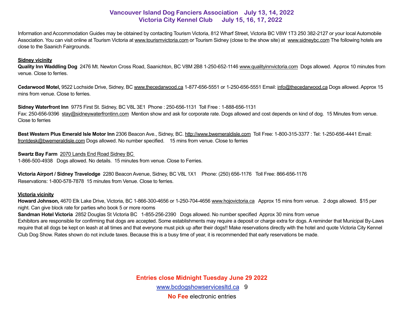Information and Accommodation Guides may be obtained by contacting Tourism Victoria, 812 Wharf Street, Victoria BC V8W 1T3 250 382-2127 or your local Automobile Association. You can visit online at Tourism Victoria at [www.tourismvictoria.com](http://www.tourismvictoria.com) or Tourism Sidney (close to the show site) at [www.sidneybc.com](http://www.sidneybc.com) The following hotels are close to the Saanich Fairgrounds.

#### **Sidney vicinity**

**Quality Inn Waddling Dog** 2476 Mt. Newton Cross Road, Saanichton, BC V8M 2B8 1-250-652-1146 [www.qualityinnvictoria.com](http://www.qualityinnvictoria.com) Dogs allowed. Approx 10 minutes from venue. Close to ferries.

Cedarwood Motel, 9522 Lochside Drive, Sidney, BC [www.thecedarwood.ca](http://www.thecedarwood.ca) 1-877-656-5551 or 1-250-656-5551 Email: [info@thecedarwood.ca](mailto:info@thecedarwood.ca) Dogs allowed. Approx 15 mins from venue. Close to ferries.

**Sidney Waterfront Inn** 9775 First St. Sidney, BC V8L 3E1 Phone : 250-656-1131 Toll Free : 1-888-656-1131 Fax: 250-656-9396 [stay@sidneywaterfrontinn.com](mailto:stay@sidneywaterfrontinn.com) Mention show and ask for corporate rate. Dogs allowed and cost depends on kind of dog. 15 Minutes from venue. Close to ferries

**Best Western Plus Emerald Isle Motor Inn** 2306 Beacon Ave., Sidney, BC. <http://www.bwemeraldisle.com>Toll Free: 1-800-315-3377 : Tel: 1-250-656-4441 Email: [frontdesk@bwemeraldisle.com](mailto:frontdesk@bwemeraldisle.com) Dogs allowed. No number specified. 15 mins from venue. Close to ferries

**Swartz Bay Farm** 2070 Lands End Road Sidney BC

1-866-500-4938 Dogs allowed. No details. 15 minutes from venue. Close to Ferries.

**Victoria Airport / Sidney Travelodge** 2280 Beacon Avenue, Sidney, BC V8L 1X1 Phone: (250) 656-1176 Toll Free: 866-656-1176 Reservations: 1-800-578-7878 15 minutes from Venue. Close to ferries.

#### **Victoria vicinity**

**Howard Johnson,** 4670 Elk Lake Drive, Victoria, BC 1-866-300-4656 or 1-250-704-4656 [www.hojovictoria.ca](http://www.hojovictoria.ca) Approx 15 mins from venue. 2 dogs allowed. \$15 per night. Can give block rate for parties who book 5 or more rooms

**Sandman Hotel Victoria** 2852 Douglas St Victoria BC 1-855-256-2390 Dogs allowed. No number specified Approx 30 mins from venue

Exhibitors are responsible for confirming that dogs are accepted. Some establishments may require a deposit or charge extra for dogs. A reminder that Municipal By-Laws require that all dogs be kept on leash at all times and that everyone must pick up after their dogs!! Make reservations directly with the hotel and quote Victoria City Kennel Club Dog Show. Rates shown do not include taxes. Because this is a busy time of year, it is recommended that early reservations be made.

> **Entries close Midnight Tuesday June 29 2022**  [www.bcdogshowservicesltd.ca](https://www.bcdogshowservicesltd.ca) 9 **No Fee** electronic entries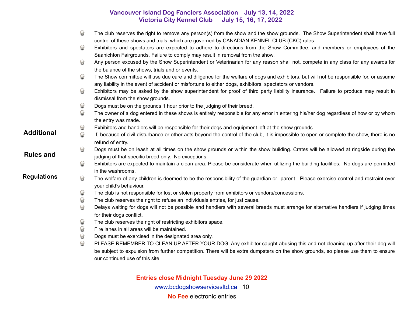|                    | $\odot$    | The club reserves the right to remove any person(s) from the show and the show grounds. The Show Superintendent shall have full<br>control of these shows and trials, which are governed by CANADIAN KENNEL CLUB (CKC) rules.                    |
|--------------------|------------|--------------------------------------------------------------------------------------------------------------------------------------------------------------------------------------------------------------------------------------------------|
|                    | $\odot$    | Exhibitors and spectators are expected to adhere to directions from the Show Committee, and members or employees of the<br>Saanichton Fairgrounds. Failure to comply may result in removal from the show.                                        |
|                    | $\odot$    | Any person excused by the Show Superintendent or Veterinarian for any reason shall not, compete in any class for any awards for<br>the balance of the shows, trials and or events.                                                               |
|                    | $\bigcirc$ | The Show committee will use due care and diligence for the welfare of dogs and exhibitors, but will not be responsible for, or assume<br>any liability in the event of accident or misfortune to either dogs, exhibitors, spectators or vendors. |
|                    | $\odot$    | Exhibitors may be asked by the show superintendent for proof of third party liability insurance. Failure to produce may result in<br>dismissal from the show grounds.                                                                            |
|                    | $\odot$    | Dogs must be on the grounds 1 hour prior to the judging of their breed.                                                                                                                                                                          |
|                    | $\odot$    | The owner of a dog entered in these shows is entirely responsible for any error in entering his/her dog regardless of how or by whom<br>the entry was made.                                                                                      |
|                    | $\odot$    | Exhibitors and handlers will be responsible for their dogs and equipment left at the show grounds.                                                                                                                                               |
| <b>Additional</b>  | $\Theta$   | If, because of civil disturbance or other acts beyond the control of the club, it is impossible to open or complete the show, there is no<br>refund of entry.                                                                                    |
| <b>Rules and</b>   | $\odot$    | Dogs must be on leash at all times on the show grounds or within the show building. Crates will be allowed at ringside during the<br>judging of that specific breed only. No exceptions.                                                         |
|                    | $\bigcirc$ | Exhibitors are expected to maintain a clean area. Please be considerate when utilizing the building facilities. No dogs are permitted<br>in the washrooms.                                                                                       |
| <b>Regulations</b> | $\bigodot$ | The welfare of any children is deemed to be the responsibility of the guardian or parent. Please exercise control and restraint over<br>your child's behaviour.                                                                                  |
|                    | $\odot$    | The club is not responsible for lost or stolen property from exhibitors or vendors/concessions.                                                                                                                                                  |
|                    | $\Theta$   | The club reserves the right to refuse an individuals entries, for just cause.                                                                                                                                                                    |
|                    | $\Theta$   | Delays waiting for dogs will not be possible and handlers with several breeds must arrange for alternative handlers if judging times<br>for their dogs conflict.                                                                                 |
|                    | $\odot$    | The club reserves the right of restricting exhibitors space.                                                                                                                                                                                     |
|                    | $\odot$    | Fire lanes in all areas will be maintained.                                                                                                                                                                                                      |
|                    | $\odot$    | Dogs must be exercised in the designated area only.                                                                                                                                                                                              |
|                    | $\Theta$   | PLEASE REMEMBER TO CLEAN UP AFTER YOUR DOG. Any exhibitor caught abusing this and not cleaning up after their dog will                                                                                                                           |
|                    |            | be subject to expulsion from further competition. There will be extra dumpsters on the show grounds, so please use them to ensure<br>our continued use of this site.                                                                             |

**Entries close Midnight Tuesday June 29 2022**  [www.bcdogshowservicesltd.ca](https://www.bcdogshowservicesltd.ca) 10 **No Fee** electronic entries